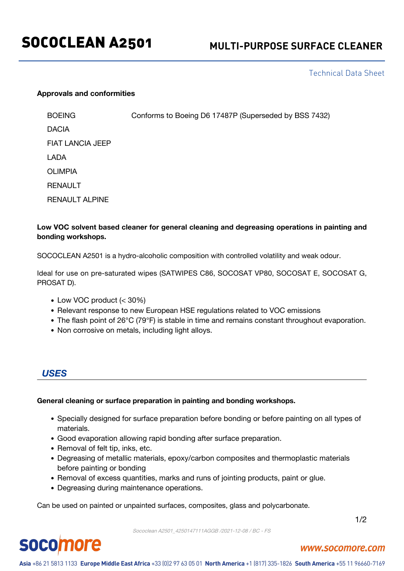## Technical Data Sheet

### **Approvals and conformities**

BOEING Conforms to Boeing D6 17487P (Superseded by BSS 7432) DACIA FIAT LANCIA JEEP LADA OLIMPIA RENAULT RENAULT ALPINE

### **Low VOC solvent based cleaner for general cleaning and degreasing operations in painting and bonding workshops.**

SOCOCLEAN A2501 is a hydro-alcoholic composition with controlled volatility and weak odour.

Ideal for use on pre-saturated wipes (SATWIPES C86, SOCOSAT VP80, SOCOSAT E, SOCOSAT G, PROSAT D).

- Low VOC product (< 30%)
- Relevant response to new European HSE regulations related to VOC emissions
- The flash point of 26°C (79°F) is stable in time and remains constant throughout evaporation.
- Non corrosive on metals, including light alloys.

*USES*

**socomore** 

### **General cleaning or surface preparation in painting and bonding workshops.**

- Specially designed for surface preparation before bonding or before painting on all types of materials.
- Good evaporation allowing rapid bonding after surface preparation.
- Removal of felt tip, inks, etc.
- Degreasing of metallic materials, epoxy/carbon composites and thermoplastic materials before painting or bonding
- Removal of excess quantities, marks and runs of jointing products, paint or glue.
- Degreasing during maintenance operations.

Can be used on painted or unpainted surfaces, composites, glass and polycarbonate.

1/2

### Sococlean A2501\_4250147111AGGB /2021-12-08 / BC - FS

### www.socomore.com

Asia +86 21 5813 1133 Europe Middle East Africa +33 (0)2 97 63 05 01 North America +1 (817) 335-1826 South America +55 11 96660-7169